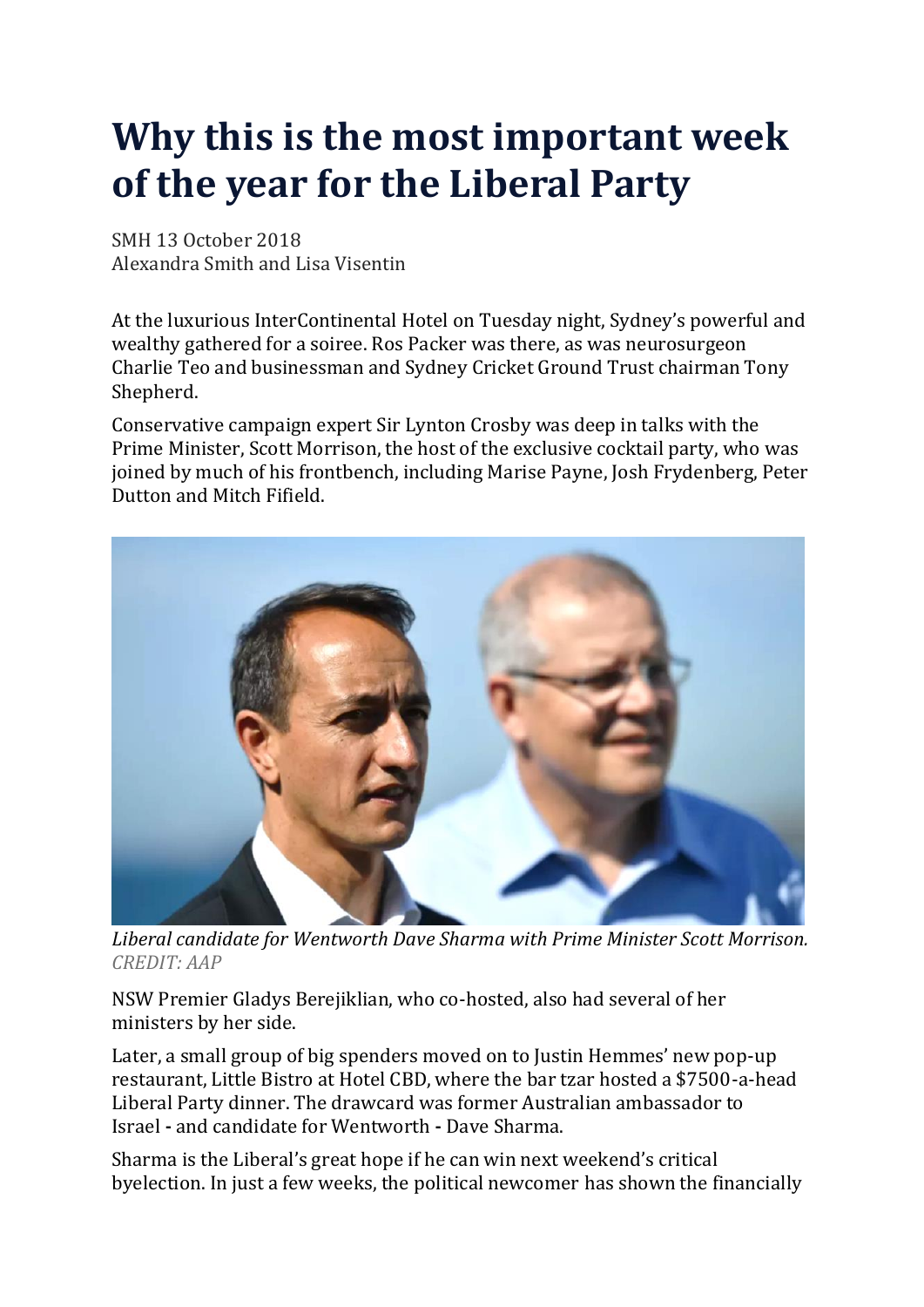# **Why this is the most important week of the year for the Liberal Party**

SMH 13 October 2018 Alexandra Smith and Lisa Visentin

At the luxurious InterContinental Hotel on Tuesday night, Sydney's powerful and wealthy gathered for a soiree. Ros Packer was there, as was neurosurgeon Charlie Teo and businessman and Sydney Cricket Ground Trust chairman Tony Shepherd.

Conservative campaign expert Sir Lynton Crosby was deep in talks with the Prime Minister, Scott Morrison, the host of the exclusive cocktail party, who was joined by much of his frontbench, including Marise Payne, Josh Frydenberg, Peter Dutton and Mitch Fifield.



*Liberal candidate for Wentworth Dave Sharma with Prime Minister Scott Morrison. CREDIT: AAP*

NSW Premier Gladys Berejiklian, who co-hosted, also had several of her ministers by her side.

Later, a small group of big spenders moved on to Justin Hemmes' new pop-up restaurant, Little Bistro at Hotel CBD, where the bar tzar hosted a \$7500-a-head Liberal Party dinner. The drawcard was former Australian ambassador to Israel **-** and candidate for Wentworth **-** Dave Sharma.

Sharma is the Liberal's great hope if he can win next weekend's critical byelection. In just a few weeks, the political newcomer has shown the financially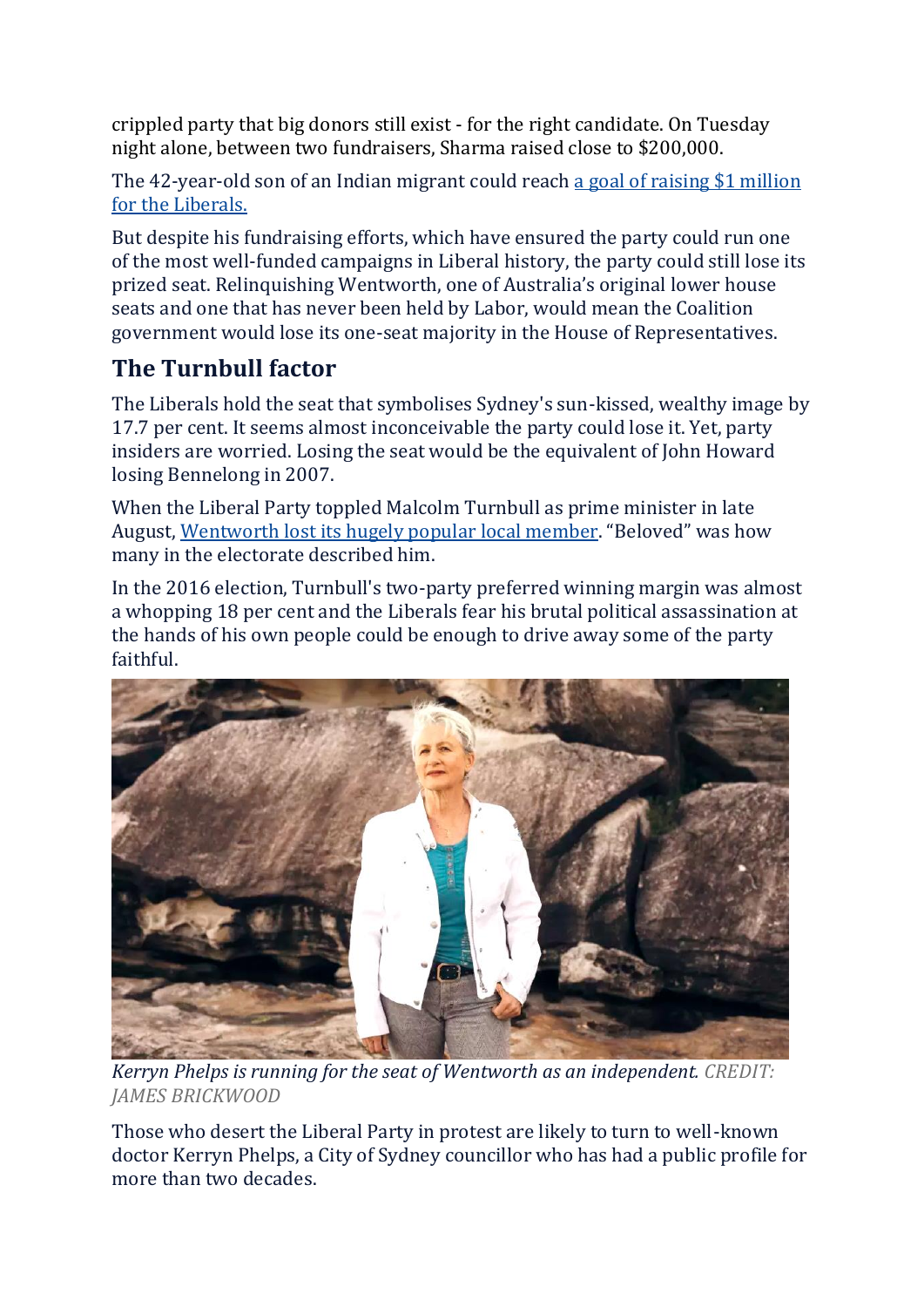crippled party that big donors still exist - for the right candidate. On Tuesday night alone, between two fundraisers, Sharma raised close to \$200,000.

The 42-year-old son of an Indian migrant could reach a goal of raising \$1 [million](https://www.smh.com.au/politics/federal/the-million-dollar-man-dave-sharma-and-his-fundraising-pull-20180914-p503t0.html) for the [Liberals.](https://www.smh.com.au/politics/federal/the-million-dollar-man-dave-sharma-and-his-fundraising-pull-20180914-p503t0.html)

But despite his fundraising efforts, which have ensured the party could run one of the most well-funded campaigns in Liberal history, the party could still lose its prized seat. Relinquishing Wentworth, one of Australia's original lower house seats and one that has never been held by Labor, would mean the Coalition government would lose its one-seat majority in the House of Representatives.

## **The Turnbull factor**

The Liberals hold the seat that symbolises Sydney's sun-kissed, wealthy image by 17.7 per cent. It seems almost inconceivable the party could lose it. Yet, party insiders are worried. Losing the seat would be the equivalent of John Howard losing Bennelong in 2007.

When the Liberal Party toppled Malcolm Turnbull as prime minister in late August, [Wentworth](https://www.smh.com.au/politics/federal/turnbull-to-quit-parliament-as-liberals-race-to-replace-former-prime-minister-20180827-p50047.html) lost its hugely popular local member. "Beloved" was how many in the electorate described him.

In the 2016 election, Turnbull's two-party preferred winning margin was almost a whopping 18 per cent and the Liberals fear his brutal political assassination at the hands of his own people could be enough to drive away some of the party faithful.



*Kerryn Phelps is running for the seat of Wentworth as an independent. CREDIT: JAMES BRICKWOOD*

Those who desert the Liberal Party in protest are likely to turn to well-known doctor Kerryn Phelps, a City of Sydney councillor who has had a public profile for more than two decades.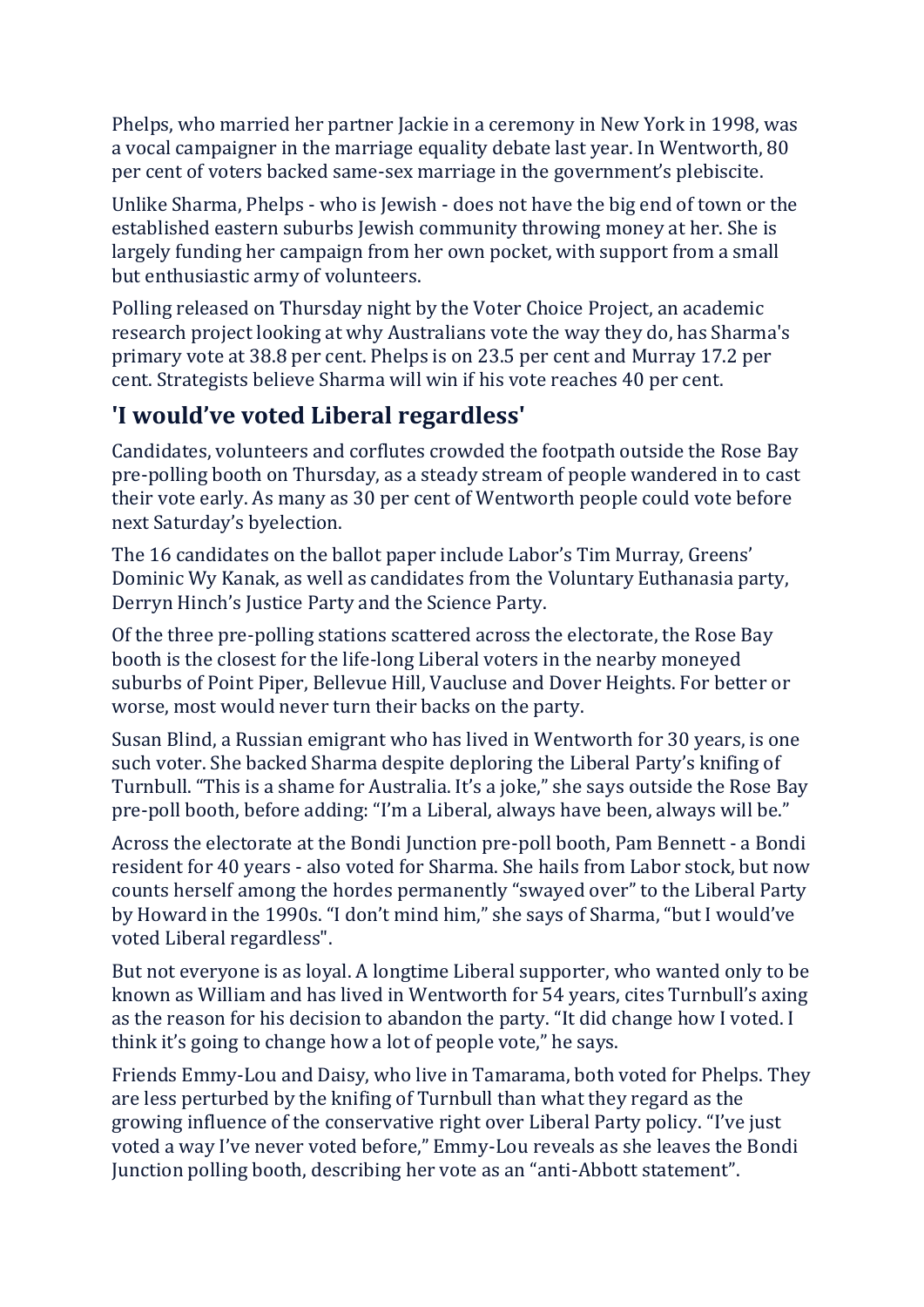Phelps, who married her partner Jackie in a ceremony in New York in 1998, was a vocal campaigner in the marriage equality debate last year. In Wentworth, 80 per cent of voters backed same-sex marriage in the government's plebiscite.

Unlike Sharma, Phelps - who is Jewish - does not have the big end of town or the established eastern suburbs Jewish community throwing money at her. She is largely funding her campaign from her own pocket, with support from a small but enthusiastic army of volunteers.

Polling released on Thursday night by the Voter Choice Project, an academic research project looking at why Australians vote the way they do, has Sharma's primary vote at 38.8 per cent. Phelps is on 23.5 per cent and Murray 17.2 per cent. Strategists believe Sharma will win if his vote reaches 40 per cent.

#### **'I would've voted Liberal regardless'**

Candidates, volunteers and corflutes crowded the footpath outside the Rose Bay pre-polling booth on Thursday, as a steady stream of people wandered in to cast their vote early. As many as 30 per cent of Wentworth people could vote before next Saturday's byelection.

The 16 candidates on the ballot paper include Labor's Tim Murray, Greens' Dominic Wy Kanak, as well as candidates from the Voluntary Euthanasia party, Derryn Hinch's Justice Party and the Science Party.

Of the three pre-polling stations scattered across the electorate, the Rose Bay booth is the closest for the life-long Liberal voters in the nearby moneyed suburbs of Point Piper, Bellevue Hill, Vaucluse and Dover Heights. For better or worse, most would never turn their backs on the party.

Susan Blind, a Russian emigrant who has lived in Wentworth for 30 years, is one such voter. She backed Sharma despite deploring the Liberal Party's knifing of Turnbull. "This is a shame for Australia. It's a joke," she says outside the Rose Bay pre-poll booth, before adding: "I'm a Liberal, always have been, always will be."

Across the electorate at the Bondi Junction pre-poll booth, Pam Bennett - a Bondi resident for 40 years - also voted for Sharma. She hails from Labor stock, but now counts herself among the hordes permanently "swayed over" to the Liberal Party by Howard in the 1990s. "I don't mind him," she says of Sharma, "but I would've voted Liberal regardless".

But not everyone is as loyal. A longtime Liberal supporter, who wanted only to be known as William and has lived in Wentworth for 54 years, cites Turnbull's axing as the reason for his decision to abandon the party. "It did change how I voted. I think it's going to change how a lot of people vote," he says.

Friends Emmy-Lou and Daisy, who live in Tamarama, both voted for Phelps. They are less perturbed by the knifing of Turnbull than what they regard as the growing influence of the conservative right over Liberal Party policy. "I've just voted a way I've never voted before," Emmy-Lou reveals as she leaves the Bondi Junction polling booth, describing her vote as an "anti-Abbott statement".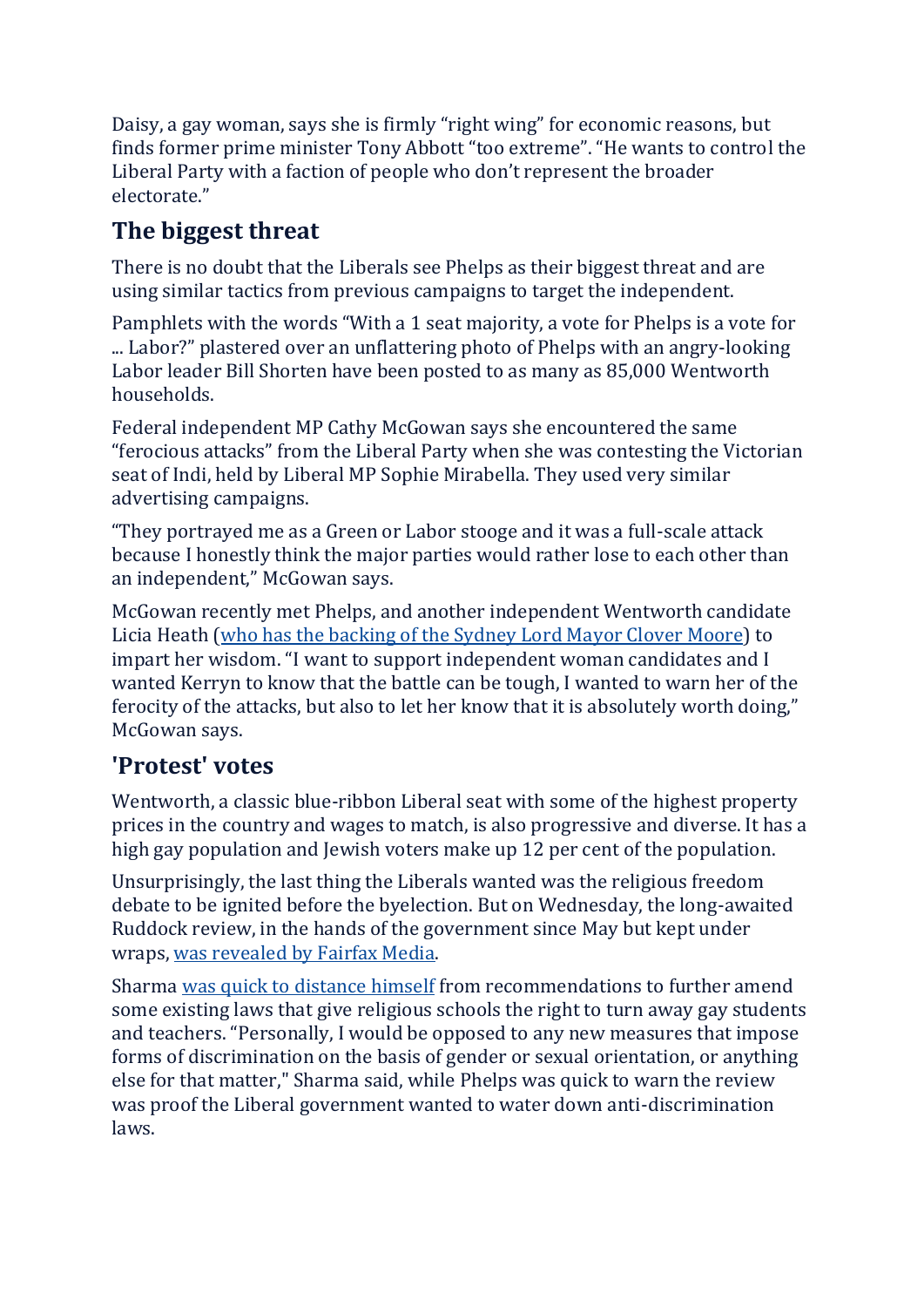Daisy, a gay woman, says she is firmly "right wing" for economic reasons, but finds former prime minister Tony Abbott "too extreme". "He wants to control the Liberal Party with a faction of people who don't represent the broader electorate."

## **The biggest threat**

There is no doubt that the Liberals see Phelps as their biggest threat and are using similar tactics from previous campaigns to target the independent.

Pamphlets with the words "With a 1 seat majority, a vote for Phelps is a vote for ... Labor?" plastered over an unflattering photo of Phelps with an angry-looking Labor leader Bill Shorten have been posted to as many as 85,000 Wentworth households.

Federal independent MP Cathy McGowan says she encountered the same "ferocious attacks" from the Liberal Party when she was contesting the Victorian seat of Indi, held by Liberal MP Sophie Mirabella. They used very similar advertising campaigns.

"They portrayed me as a Green or Labor stooge and it was a full-scale attack because I honestly think the major parties would rather lose to each other than an independent," McGowan says.

McGowan recently met Phelps, and another independent Wentworth candidate Licia Heath (who has the [backing](https://www.smh.com.au/politics/nsw/lord-mayor-clover-moore-backs-independent-licia-heath-for-wentworth-20180927-p506e7.html) of the Sydney Lord Mayor Clover Moore) to impart her wisdom. "I want to support independent woman candidates and I wanted Kerryn to know that the battle can be tough, I wanted to warn her of the ferocity of the attacks, but also to let her know that it is absolutely worth doing," McGowan says.

### **'Protest' votes**

Wentworth, a classic blue-ribbon Liberal seat with some of the highest property prices in the country and wages to match, is also progressive and diverse. It has a high gay population and Jewish voters make up 12 per cent of the population.

Unsurprisingly, the last thing the Liberals wanted was the religious freedom debate to be ignited before the byelection. But on Wednesday, the long-awaited Ruddock review, in the hands of the government since May but kept under wraps, was [revealed](https://www.smh.com.au/politics/federal/religious-freedom-review-enshrines-right-of-schools-to-turn-away-gay-children-and-teachers-20181009-p508o7.html) by Fairfax Media.

Sharma was quick to [distance](https://www.smh.com.au/politics/nsw/dave-sharma-religious-freedom-wentworth-byelection-20181010-p508vj.html) himself from recommendations to further amend some existing laws that give religious schools the right to turn away gay students and teachers. "Personally, I would be opposed to any new measures that impose forms of discrimination on the basis of gender or sexual orientation, or anything else for that matter," Sharma said, while Phelps was quick to warn the review was proof the Liberal government wanted to water down anti-discrimination laws.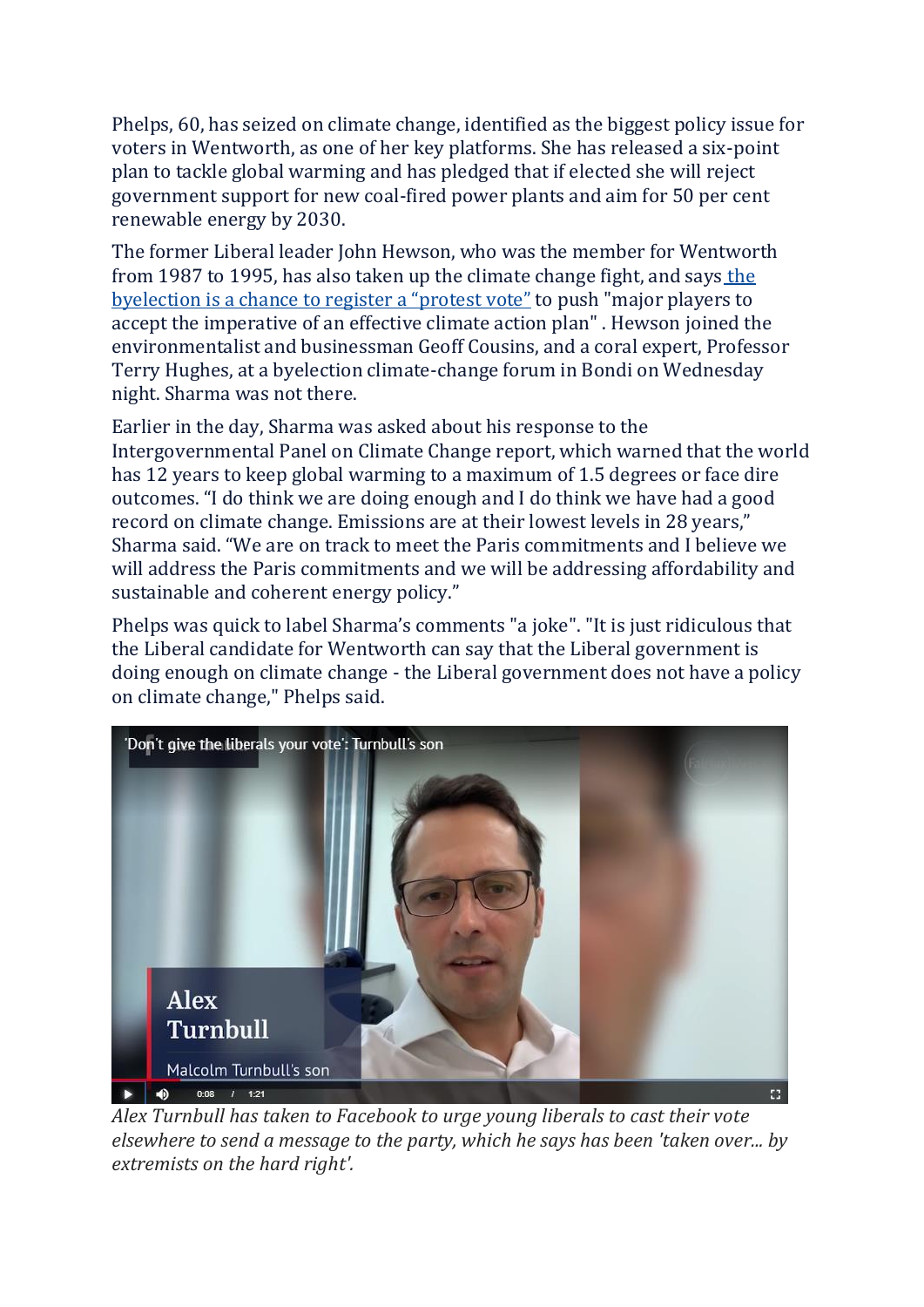Phelps, 60, has seized on climate change, identified as the biggest policy issue for voters in Wentworth, as one of her key platforms. She has released a six-point plan to tackle global warming and has pledged that if elected she will reject government support for new coal-fired power plants and aim for 50 per cent renewable energy by 2030.

The former Liberal leader John Hewson, who was the member for Wentworth from 1987 to 1995, has also taken up [the](https://www.smh.com.au/national/voters-of-wentworth-can-send-a-message-on-climate-governance-20181010-p508uk.html) climate change fight, and says the [byelection](https://www.smh.com.au/national/voters-of-wentworth-can-send-a-message-on-climate-governance-20181010-p508uk.html) is a chance to register a "protest vote" to push "major players to accept the imperative of an effective climate action plan" . Hewson joined the environmentalist and businessman Geoff Cousins, and a coral expert, Professor Terry Hughes, at a byelection climate-change forum in Bondi on Wednesday night. Sharma was not there.

Earlier in the day, Sharma was asked about his response to the Intergovernmental Panel on Climate Change report, which warned that the world has 12 years to keep global warming to a maximum of 1.5 degrees or face dire outcomes. "I do think we are doing enough and I do think we have had a good record on climate change. Emissions are at their lowest levels in 28 years," Sharma said. "We are on track to meet the Paris commitments and I believe we will address the Paris commitments and we will be addressing affordability and sustainable and coherent energy policy."

Phelps was quick to label Sharma's comments "a joke". "It is just ridiculous that the Liberal candidate for Wentworth can say that the Liberal government is doing enough on climate change - the Liberal government does not have a policy on climate change," Phelps said.



*Alex Turnbull has taken to Facebook to urge young liberals to cast their vote elsewhere to send a message to the party, which he says has been 'taken over... by extremists on the hard right'.*